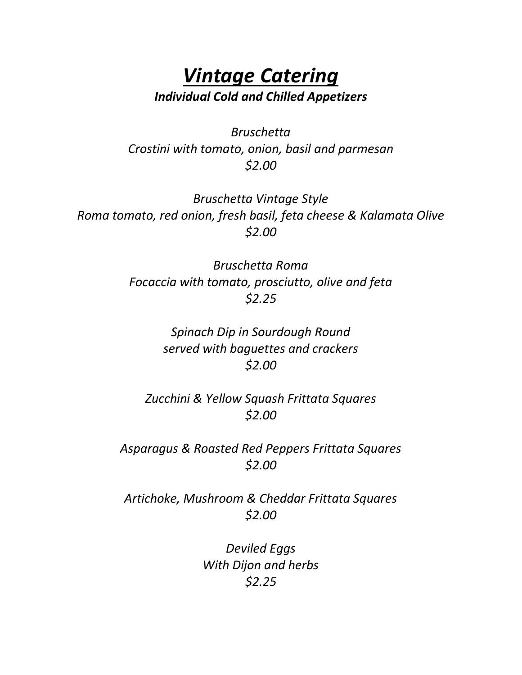#### *Vintage Catering Individual Cold and Chilled Appetizers*

*Bruschetta Crostini with tomato, onion, basil and parmesan \$2.00*

*Bruschetta Vintage Style Roma tomato, red onion, fresh basil, feta cheese & Kalamata Olive \$2.00*

> *Bruschetta Roma Focaccia with tomato, prosciutto, olive and feta \$2.25*

> > *Spinach Dip in Sourdough Round served with baguettes and crackers \$2.00*

*Zucchini & Yellow Squash Frittata Squares \$2.00*

*Asparagus & Roasted Red Peppers Frittata Squares \$2.00*

*Artichoke, Mushroom & Cheddar Frittata Squares \$2.00*

> *Deviled Eggs With Dijon and herbs \$2.25*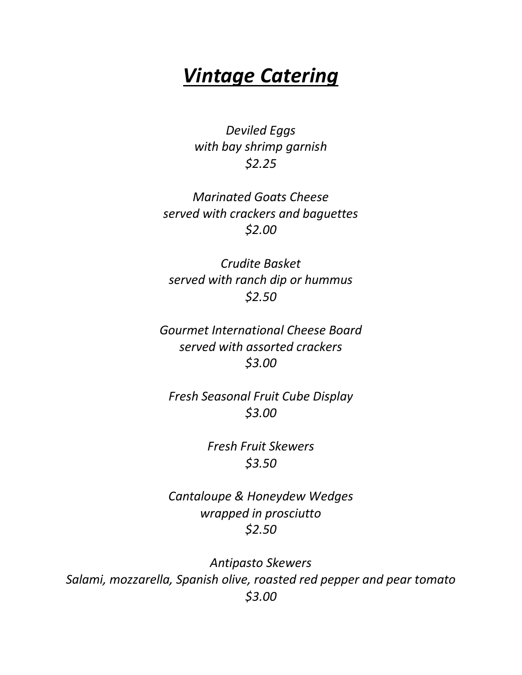*Deviled Eggs with bay shrimp garnish \$2.25*

*Marinated Goats Cheese served with crackers and baguettes \$2.00*

*Crudite Basket served with ranch dip or hummus \$2.50*

*Gourmet International Cheese Board served with assorted crackers \$3.00*

*Fresh Seasonal Fruit Cube Display \$3.00*

> *Fresh Fruit Skewers \$3.50*

*Cantaloupe & Honeydew Wedges wrapped in prosciutto \$2.50*

*Antipasto Skewers Salami, mozzarella, Spanish olive, roasted red pepper and pear tomato \$3.00*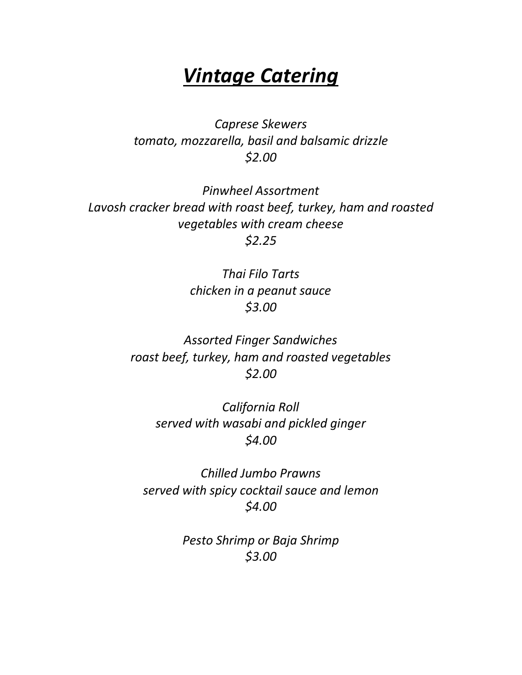*Caprese Skewers tomato, mozzarella, basil and balsamic drizzle \$2.00*

*Pinwheel Assortment Lavosh cracker bread with roast beef, turkey, ham and roasted vegetables with cream cheese \$2.25*

> *Thai Filo Tarts chicken in a peanut sauce \$3.00*

*Assorted Finger Sandwiches roast beef, turkey, ham and roasted vegetables \$2.00*

*California Roll served with wasabi and pickled ginger \$4.00*

*Chilled Jumbo Prawns served with spicy cocktail sauce and lemon \$4.00*

> *Pesto Shrimp or Baja Shrimp \$3.00*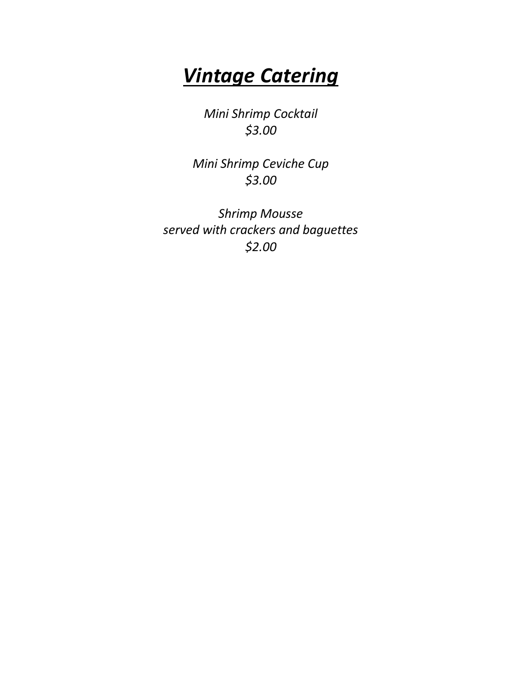*Mini Shrimp Cocktail \$3.00*

*Mini Shrimp Ceviche Cup \$3.00*

*Shrimp Mousse served with crackers and baguettes \$2.00*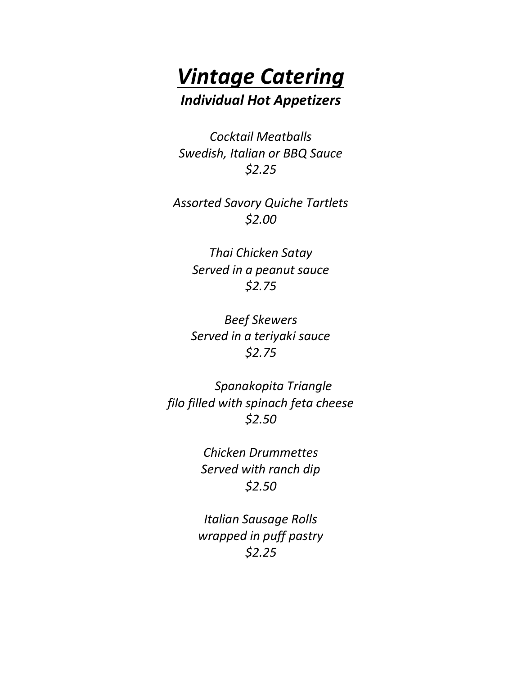

*Cocktail Meatballs Swedish, Italian or BBQ Sauce \$2.25*

*Assorted Savory Quiche Tartlets \$2.00*

> *Thai Chicken Satay Served in a peanut sauce \$2.75*

> *Beef Skewers Served in a teriyaki sauce \$2.75*

*Spanakopita Triangle filo filled with spinach feta cheese \$2.50*

> *Chicken Drummettes Served with ranch dip \$2.50*

*Italian Sausage Rolls wrapped in puff pastry \$2.25*